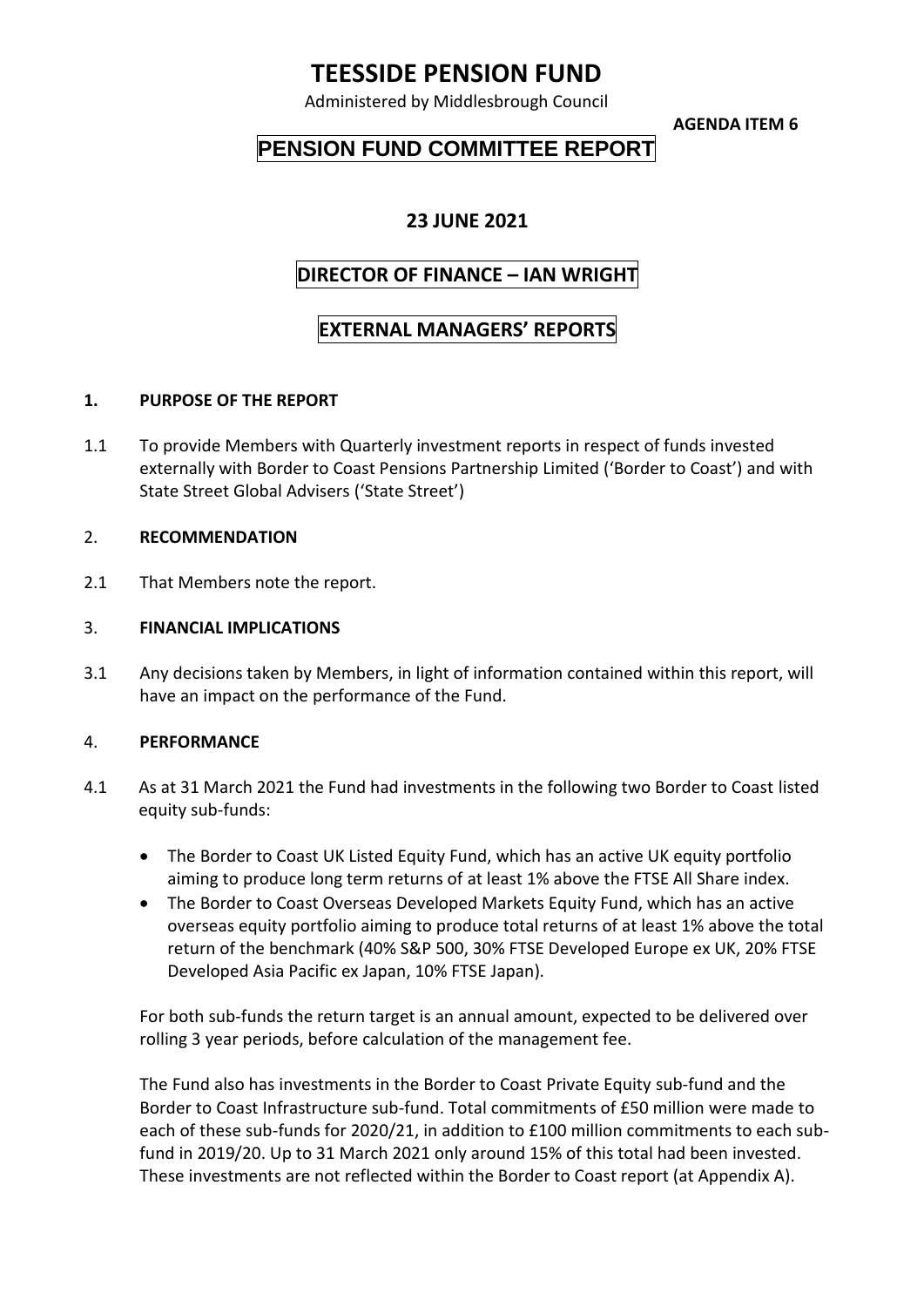# **TEESSIDE PENSION FUND**

Administered by Middlesbrough Council

**AGENDA ITEM 6**

# **PENSION FUND COMMITTEE REPORT**

### **23 JUNE 2021**

# **DIRECTOR OF FINANCE – IAN WRIGHT**

## **EXTERNAL MANAGERS' REPORTS**

### **1. PURPOSE OF THE REPORT**

1.1 To provide Members with Quarterly investment reports in respect of funds invested externally with Border to Coast Pensions Partnership Limited ('Border to Coast') and with State Street Global Advisers ('State Street')

#### 2. **RECOMMENDATION**

2.1 That Members note the report.

#### 3. **FINANCIAL IMPLICATIONS**

3.1 Any decisions taken by Members, in light of information contained within this report, will have an impact on the performance of the Fund.

#### 4. **PERFORMANCE**

- 4.1 As at 31 March 2021 the Fund had investments in the following two Border to Coast listed equity sub-funds:
	- The Border to Coast UK Listed Equity Fund, which has an active UK equity portfolio aiming to produce long term returns of at least 1% above the FTSE All Share index.
	- The Border to Coast Overseas Developed Markets Equity Fund, which has an active overseas equity portfolio aiming to produce total returns of at least 1% above the total return of the benchmark (40% S&P 500, 30% FTSE Developed Europe ex UK, 20% FTSE Developed Asia Pacific ex Japan, 10% FTSE Japan).

For both sub-funds the return target is an annual amount, expected to be delivered over rolling 3 year periods, before calculation of the management fee.

The Fund also has investments in the Border to Coast Private Equity sub-fund and the Border to Coast Infrastructure sub-fund. Total commitments of £50 million were made to each of these sub-funds for 2020/21, in addition to £100 million commitments to each subfund in 2019/20. Up to 31 March 2021 only around 15% of this total had been invested. These investments are not reflected within the Border to Coast report (at Appendix A).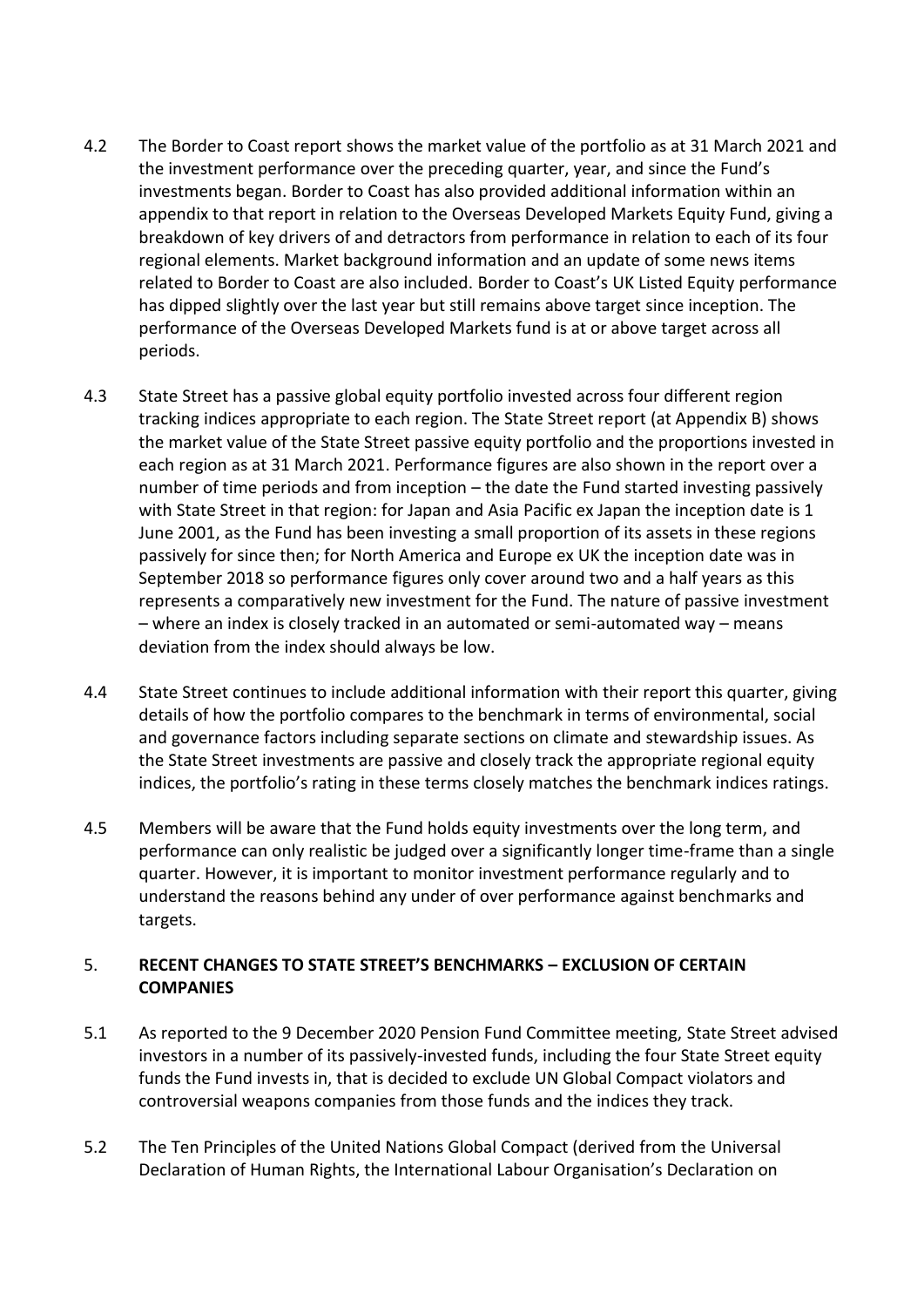- 4.2 The Border to Coast report shows the market value of the portfolio as at 31 March 2021 and the investment performance over the preceding quarter, year, and since the Fund's investments began. Border to Coast has also provided additional information within an appendix to that report in relation to the Overseas Developed Markets Equity Fund, giving a breakdown of key drivers of and detractors from performance in relation to each of its four regional elements. Market background information and an update of some news items related to Border to Coast are also included. Border to Coast's UK Listed Equity performance has dipped slightly over the last year but still remains above target since inception. The performance of the Overseas Developed Markets fund is at or above target across all periods.
- 4.3 State Street has a passive global equity portfolio invested across four different region tracking indices appropriate to each region. The State Street report (at Appendix B) shows the market value of the State Street passive equity portfolio and the proportions invested in each region as at 31 March 2021. Performance figures are also shown in the report over a number of time periods and from inception – the date the Fund started investing passively with State Street in that region: for Japan and Asia Pacific ex Japan the inception date is 1 June 2001, as the Fund has been investing a small proportion of its assets in these regions passively for since then; for North America and Europe ex UK the inception date was in September 2018 so performance figures only cover around two and a half years as this represents a comparatively new investment for the Fund. The nature of passive investment – where an index is closely tracked in an automated or semi-automated way – means deviation from the index should always be low.
- 4.4 State Street continues to include additional information with their report this quarter, giving details of how the portfolio compares to the benchmark in terms of environmental, social and governance factors including separate sections on climate and stewardship issues. As the State Street investments are passive and closely track the appropriate regional equity indices, the portfolio's rating in these terms closely matches the benchmark indices ratings.
- 4.5 Members will be aware that the Fund holds equity investments over the long term, and performance can only realistic be judged over a significantly longer time-frame than a single quarter. However, it is important to monitor investment performance regularly and to understand the reasons behind any under of over performance against benchmarks and targets.

### 5. **RECENT CHANGES TO STATE STREET'S BENCHMARKS – EXCLUSION OF CERTAIN COMPANIES**

- 5.1 As reported to the 9 December 2020 Pension Fund Committee meeting, State Street advised investors in a number of its passively-invested funds, including the four State Street equity funds the Fund invests in, that is decided to exclude UN Global Compact violators and controversial weapons companies from those funds and the indices they track.
- 5.2 The Ten Principles of the United Nations Global Compact (derived from the Universal Declaration of Human Rights, the International Labour Organisation's Declaration on